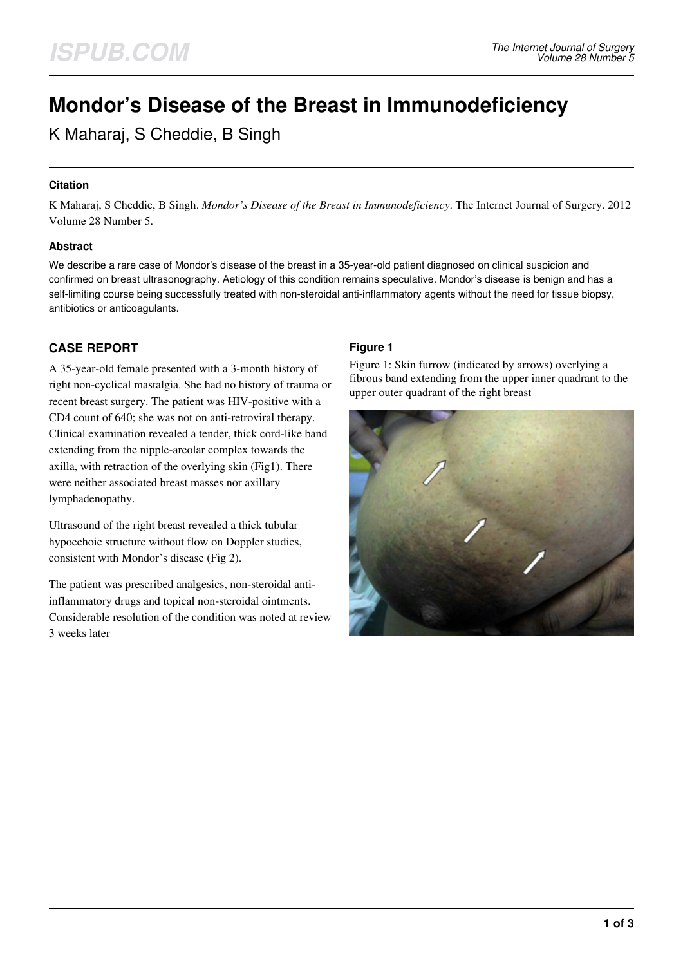# **Mondor's Disease of the Breast in Immunodeficiency**

K Maharaj, S Cheddie, B Singh

## **Citation**

K Maharaj, S Cheddie, B Singh. *Mondor's Disease of the Breast in Immunodeficiency*. The Internet Journal of Surgery. 2012 Volume 28 Number 5.

## **Abstract**

We describe a rare case of Mondor's disease of the breast in a 35-year-old patient diagnosed on clinical suspicion and confirmed on breast ultrasonography. Aetiology of this condition remains speculative. Mondor's disease is benign and has a self-limiting course being successfully treated with non-steroidal anti-inflammatory agents without the need for tissue biopsy, antibiotics or anticoagulants.

# **CASE REPORT**

A 35-year-old female presented with a 3-month history of right non-cyclical mastalgia. She had no history of trauma or recent breast surgery. The patient was HIV-positive with a CD4 count of 640; she was not on anti-retroviral therapy. Clinical examination revealed a tender, thick cord-like band extending from the nipple-areolar complex towards the axilla, with retraction of the overlying skin (Fig1). There were neither associated breast masses nor axillary lymphadenopathy.

Ultrasound of the right breast revealed a thick tubular hypoechoic structure without flow on Doppler studies, consistent with Mondor's disease (Fig 2).

The patient was prescribed analgesics, non-steroidal antiinflammatory drugs and topical non-steroidal ointments. Considerable resolution of the condition was noted at review 3 weeks later

## **Figure 1**

Figure 1: Skin furrow (indicated by arrows) overlying a fibrous band extending from the upper inner quadrant to the upper outer quadrant of the right breast

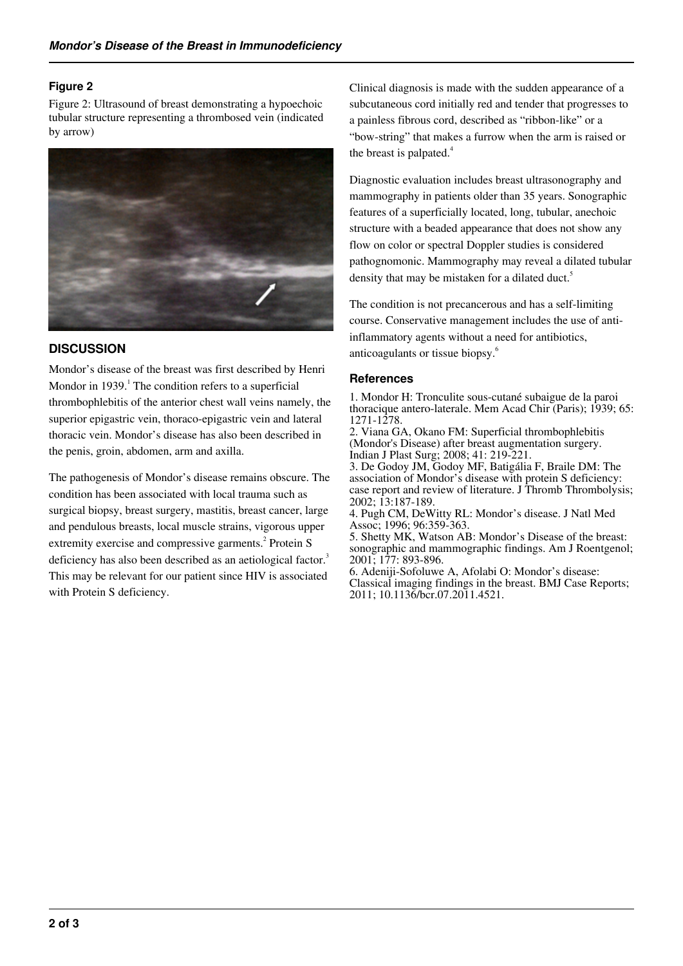## **Figure 2**

Figure 2: Ultrasound of breast demonstrating a hypoechoic tubular structure representing a thrombosed vein (indicated by arrow)



## **DISCUSSION**

Mondor's disease of the breast was first described by Henri Mondor in 1939. $<sup>1</sup>$  The condition refers to a superficial</sup> thrombophlebitis of the anterior chest wall veins namely, the superior epigastric vein, thoraco-epigastric vein and lateral thoracic vein. Mondor's disease has also been described in the penis, groin, abdomen, arm and axilla.

The pathogenesis of Mondor's disease remains obscure. The condition has been associated with local trauma such as surgical biopsy, breast surgery, mastitis, breast cancer, large and pendulous breasts, local muscle strains, vigorous upper extremity exercise and compressive garments.<sup>2</sup> Protein S deficiency has also been described as an aetiological factor.<sup>3</sup> This may be relevant for our patient since HIV is associated with Protein S deficiency.

Clinical diagnosis is made with the sudden appearance of a subcutaneous cord initially red and tender that progresses to a painless fibrous cord, described as "ribbon-like" or a "bow-string" that makes a furrow when the arm is raised or the breast is palpated. $4$ 

Diagnostic evaluation includes breast ultrasonography and mammography in patients older than 35 years. Sonographic features of a superficially located, long, tubular, anechoic structure with a beaded appearance that does not show any flow on color or spectral Doppler studies is considered pathognomonic. Mammography may reveal a dilated tubular density that may be mistaken for a dilated duct.<sup>5</sup>

The condition is not precancerous and has a self-limiting course. Conservative management includes the use of antiinflammatory agents without a need for antibiotics, anticoagulants or tissue biopsy.<sup>6</sup>

## **References**

1. Mondor H: Tronculite sous-cutané subaigue de la paroi thoracique antero-laterale. Mem Acad Chir (Paris); 1939; 65: 1271-1278.

2. Viana GA, Okano FM: Superficial thrombophlebitis (Mondor's Disease) after breast augmentation surgery. Indian J Plast Surg; 2008; 41: 219-221.

3. De Godoy JM, Godoy MF, Batigália F, Braile DM: The association of Mondor's disease with protein S deficiency: case report and review of literature. J Thromb Thrombolysis; 2002; 13:187-189.

4. Pugh CM, DeWitty RL: Mondor's disease. J Natl Med Assoc; 1996; 96:359-363.

5. Shetty MK, Watson AB: Mondor's Disease of the breast: sonographic and mammographic findings. Am J Roentgenol; 2001; 177: 893-896.

6. Adeniji-Sofoluwe A, Afolabi O: Mondor's disease: Classical imaging findings in the breast. BMJ Case Reports; 2011; 10.1136/bcr.07.2011.4521.